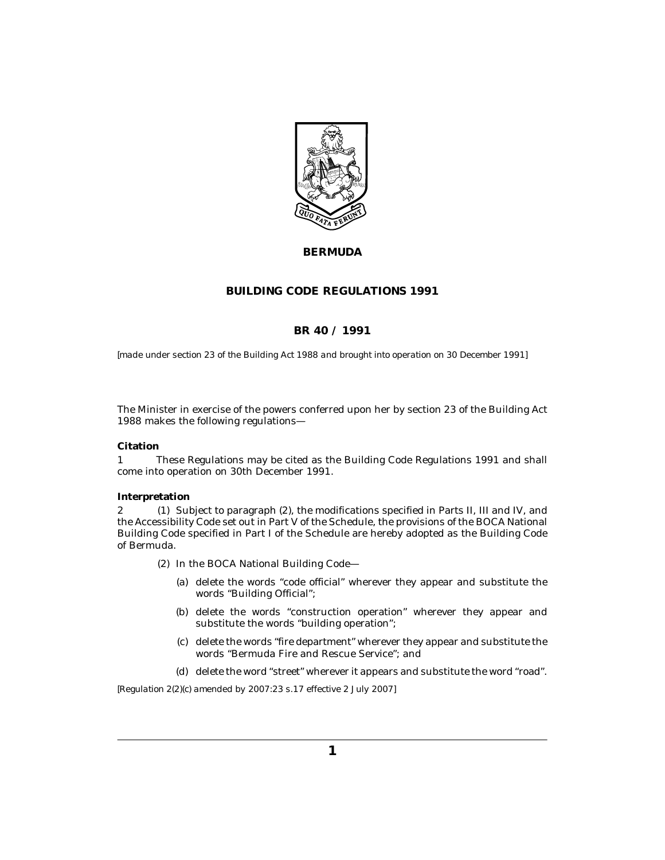

### **BERMUDA**

#### **BUILDING CODE REGULATIONS 1991**

## **BR 40 / 1991**

*[made under section 23 of the Building Act 1988 and brought into operation on 30 December 1991]*

The Minister in exercise of the powers conferred upon her by section 23 of the Building Act 1988 makes the following regulations—

#### **Citation**

These Regulations may be cited as the Building Code Regulations 1991 and shall come into operation on 30th December 1991. 1

#### **Interpretation**

2 (1) Subject to paragraph (2), the modifications specified in Parts II, III and IV, and the Accessibility Code set out in Part V of the Schedule, the provisions of the BOCA National Building Code specified in Part I of the Schedule are hereby adopted as the Building Code of Bermuda.

- (2) In the BOCA National Building Code-
	- (a) delete the words "code official" wherever they appear and substitute the words "Building Official";
	- (b) delete the words "construction operation" wherever they appear and substitute the words "building operation";
	- (c) delete the words "fire department" wherever they appear and substitute the words "Bermuda Fire and Rescue Service"; and
	- (d) delete the word "street" wherever it appears and substitute the word "road".

*[Regulation 2(2)(c) amended by 2007:23 s.17 effective 2 July 2007]*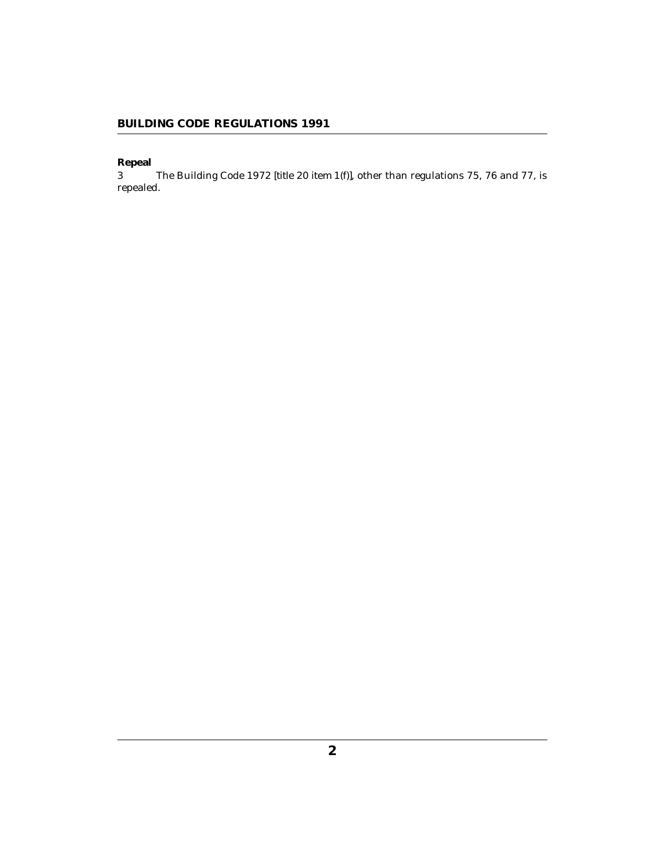**Repeal**

The Building Code 1972 *[title 20 item 1(f)]*, other than regulations 75, 76 and 77, is repealed. 3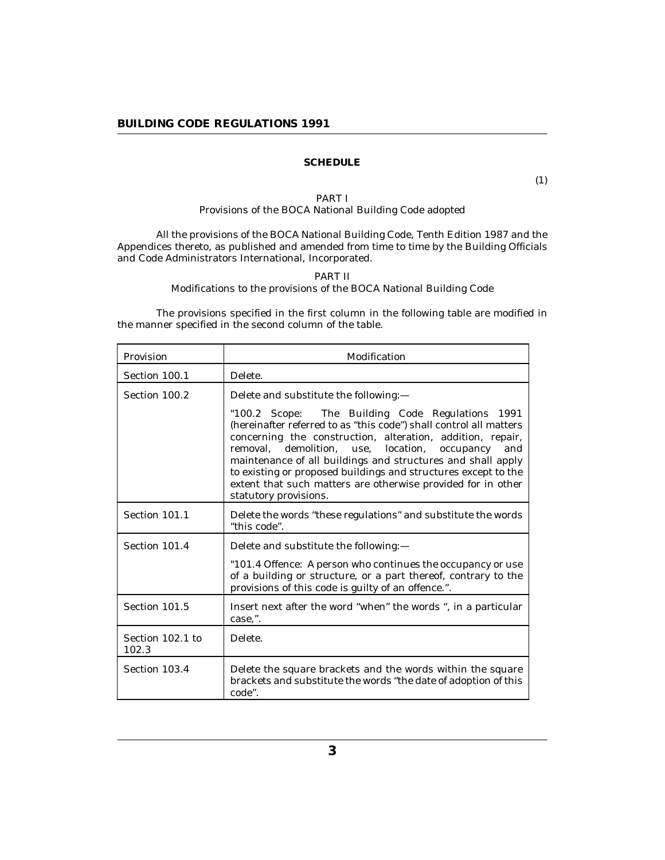### **SCHEDULE**

(1)

#### PART I Provisions of the BOCA National Building Code adopted

All the provisions of the BOCA National Building Code, Tenth Edition 1987 and the Appendices thereto, as published and amended from time to time by the Building Officials and Code Administrators International, Incorporated.

#### PART II

Modifications to the provisions of the BOCA National Building Code

The provisions specified in the first column in the following table are modified in the manner specified in the second column of the table.

| Provision                 | Modification                                                                                                                                                                                                                                                                                                                                                                                                                                                           |
|---------------------------|------------------------------------------------------------------------------------------------------------------------------------------------------------------------------------------------------------------------------------------------------------------------------------------------------------------------------------------------------------------------------------------------------------------------------------------------------------------------|
| Section 100.1             | Delete.                                                                                                                                                                                                                                                                                                                                                                                                                                                                |
| Section 100.2             | Delete and substitute the following:-                                                                                                                                                                                                                                                                                                                                                                                                                                  |
|                           | "100.2 Scope: The Building Code Regulations 1991<br>(hereinafter referred to as "this code") shall control all matters<br>concerning the construction, alteration, addition, repair,<br>removal, demolition, use, location, occupancy<br>and<br>maintenance of all buildings and structures and shall apply<br>to existing or proposed buildings and structures except to the<br>extent that such matters are otherwise provided for in other<br>statutory provisions. |
| Section 101.1             | Delete the words "these regulations" and substitute the words<br>"this code".                                                                                                                                                                                                                                                                                                                                                                                          |
| Section 101.4             | Delete and substitute the following:-                                                                                                                                                                                                                                                                                                                                                                                                                                  |
|                           | "101.4 Offence: A person who continues the occupancy or use<br>of a building or structure, or a part thereof, contrary to the<br>provisions of this code is guilty of an offence.".                                                                                                                                                                                                                                                                                    |
| Section 101.5             | Insert next after the word "when" the words ", in a particular<br>case,".                                                                                                                                                                                                                                                                                                                                                                                              |
| Section 102.1 to<br>102.3 | Delete.                                                                                                                                                                                                                                                                                                                                                                                                                                                                |
| Section 103.4             | Delete the square brackets and the words within the square<br>brackets and substitute the words "the date of adoption of this<br>code".                                                                                                                                                                                                                                                                                                                                |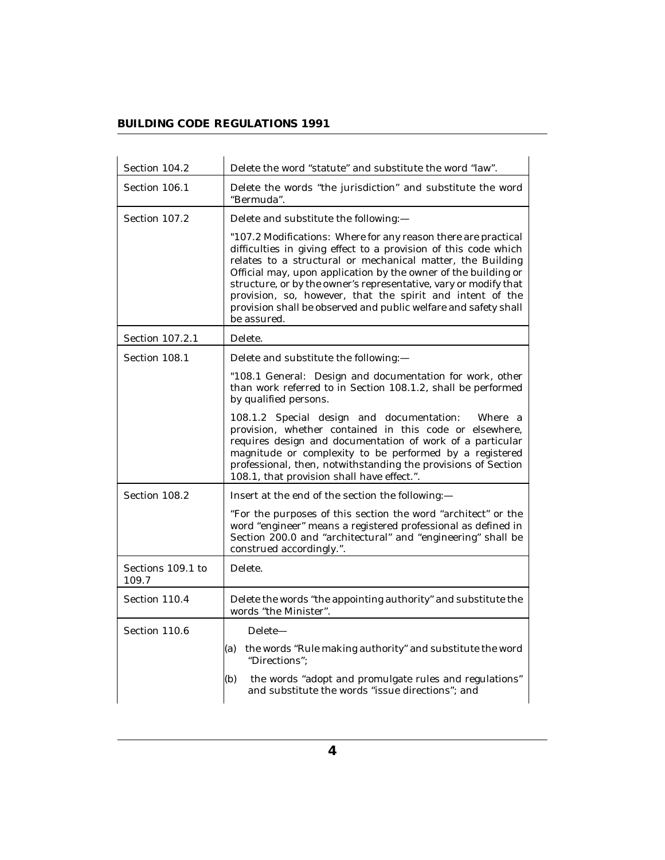| Section 104.2              | Delete the word "statute" and substitute the word "law".                                                                                                                                                                                                                                                                                                                                                                                                                             |
|----------------------------|--------------------------------------------------------------------------------------------------------------------------------------------------------------------------------------------------------------------------------------------------------------------------------------------------------------------------------------------------------------------------------------------------------------------------------------------------------------------------------------|
| Section 106.1              | Delete the words "the jurisdiction" and substitute the word<br>"Bermuda".                                                                                                                                                                                                                                                                                                                                                                                                            |
| Section 107.2              | Delete and substitute the following:-                                                                                                                                                                                                                                                                                                                                                                                                                                                |
|                            | "107.2 Modifications: Where for any reason there are practical<br>difficulties in giving effect to a provision of this code which<br>relates to a structural or mechanical matter, the Building<br>Official may, upon application by the owner of the building or<br>structure, or by the owner's representative, vary or modify that<br>provision, so, however, that the spirit and intent of the<br>provision shall be observed and public welfare and safety shall<br>be assured. |
| Section 107.2.1            | Delete.                                                                                                                                                                                                                                                                                                                                                                                                                                                                              |
| Section 108.1              | Delete and substitute the following:-                                                                                                                                                                                                                                                                                                                                                                                                                                                |
|                            | "108.1 General: Design and documentation for work, other<br>than work referred to in Section 108.1.2, shall be performed<br>by qualified persons.                                                                                                                                                                                                                                                                                                                                    |
|                            | 108.1.2 Special design and documentation:<br>Where a<br>provision, whether contained in this code or elsewhere,<br>requires design and documentation of work of a particular<br>magnitude or complexity to be performed by a registered<br>professional, then, notwithstanding the provisions of Section<br>108.1, that provision shall have effect.".                                                                                                                               |
| Section 108.2              | Insert at the end of the section the following:-                                                                                                                                                                                                                                                                                                                                                                                                                                     |
|                            | "For the purposes of this section the word "architect" or the<br>word "engineer" means a registered professional as defined in<br>Section 200.0 and "architectural" and "engineering" shall be<br>construed accordingly.".                                                                                                                                                                                                                                                           |
| Sections 109.1 to<br>109.7 | Delete.                                                                                                                                                                                                                                                                                                                                                                                                                                                                              |
| Section 110.4              | Delete the words "the appointing authority" and substitute the<br>words "the Minister".                                                                                                                                                                                                                                                                                                                                                                                              |
| Section 110.6              | Delete-                                                                                                                                                                                                                                                                                                                                                                                                                                                                              |
|                            | (a) the words "Rule making authority" and substitute the word<br>"Directions";                                                                                                                                                                                                                                                                                                                                                                                                       |
|                            | (b)<br>the words "adopt and promulgate rules and regulations"<br>and substitute the words "issue directions"; and                                                                                                                                                                                                                                                                                                                                                                    |

i.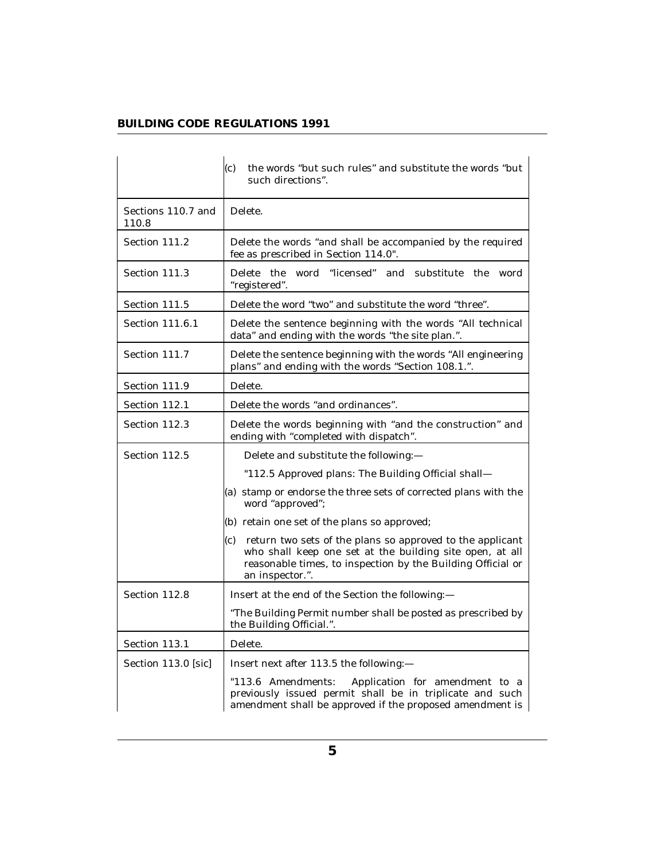|                             | the words "but such rules" and substitute the words "but<br>(c)<br>such directions".                                                                                                                           |
|-----------------------------|----------------------------------------------------------------------------------------------------------------------------------------------------------------------------------------------------------------|
| Sections 110.7 and<br>110.8 | Delete.                                                                                                                                                                                                        |
| Section 111.2               | Delete the words "and shall be accompanied by the required<br>fee as prescribed in Section 114.0".                                                                                                             |
| Section 111.3               | Delete the word "licensed"<br>and substitute<br>the<br>word<br>"registered".                                                                                                                                   |
| Section 111.5               | Delete the word "two" and substitute the word "three".                                                                                                                                                         |
| Section 111.6.1             | Delete the sentence beginning with the words "All technical<br>data" and ending with the words "the site plan.".                                                                                               |
| Section 111.7               | Delete the sentence beginning with the words "All engineering<br>plans" and ending with the words "Section 108.1.".                                                                                            |
| Section 111.9               | Delete.                                                                                                                                                                                                        |
| Section 112.1               | Delete the words "and ordinances".                                                                                                                                                                             |
| Section 112.3               | Delete the words beginning with "and the construction" and<br>ending with "completed with dispatch".                                                                                                           |
| Section 112.5               | Delete and substitute the following:-                                                                                                                                                                          |
|                             | "112.5 Approved plans: The Building Official shall-                                                                                                                                                            |
|                             | (a) stamp or endorse the three sets of corrected plans with the<br>word "approved";                                                                                                                            |
|                             | (b) retain one set of the plans so approved;                                                                                                                                                                   |
|                             | return two sets of the plans so approved to the applicant<br>(c)<br>who shall keep one set at the building site open, at all<br>reasonable times, to inspection by the Building Official or<br>an inspector.". |
| Section 112.8               | Insert at the end of the Section the following:-                                                                                                                                                               |
|                             | "The Building Permit number shall be posted as prescribed by<br>the Building Official.".                                                                                                                       |
| Section 113.1               | Delete.                                                                                                                                                                                                        |
| Section 113.0 [sic]         | Insert next after 113.5 the following:-                                                                                                                                                                        |
|                             | "113.6 Amendments:<br>Application for amendment to a<br>previously issued permit shall be in triplicate and such<br>amendment shall be approved if the proposed amendment is                                   |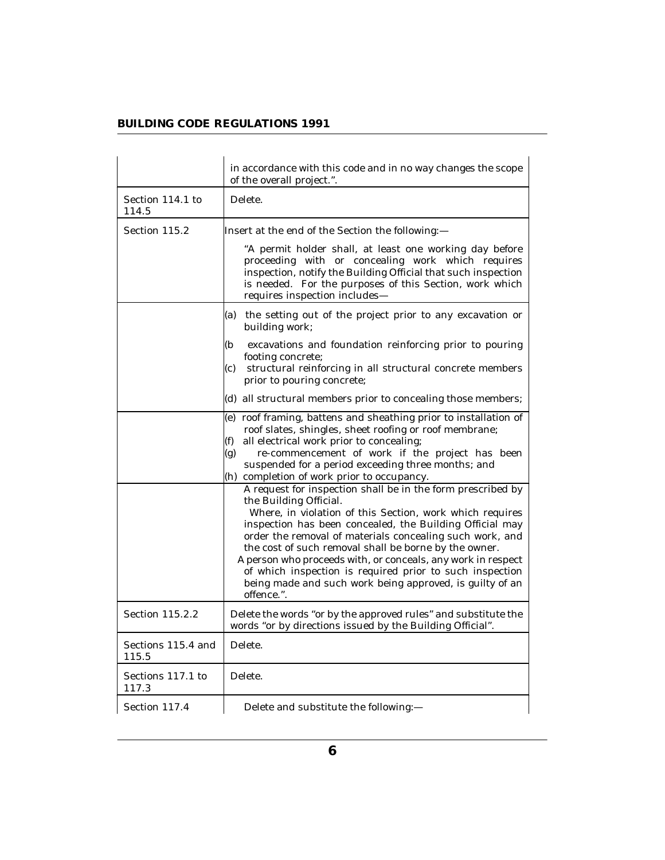|                             | in accordance with this code and in no way changes the scope<br>of the overall project.".                                                                                                                                                                                                                                                                                                                                                                                                                                                |
|-----------------------------|------------------------------------------------------------------------------------------------------------------------------------------------------------------------------------------------------------------------------------------------------------------------------------------------------------------------------------------------------------------------------------------------------------------------------------------------------------------------------------------------------------------------------------------|
| Section 114.1 to<br>114.5   | Delete.                                                                                                                                                                                                                                                                                                                                                                                                                                                                                                                                  |
| Section 115.2               | Insert at the end of the Section the following:—                                                                                                                                                                                                                                                                                                                                                                                                                                                                                         |
|                             | "A permit holder shall, at least one working day before<br>proceeding with or concealing work which requires<br>inspection, notify the Building Official that such inspection<br>is needed. For the purposes of this Section, work which<br>requires inspection includes-                                                                                                                                                                                                                                                                |
|                             | the setting out of the project prior to any excavation or<br>(a)<br>building work;                                                                                                                                                                                                                                                                                                                                                                                                                                                       |
|                             | excavations and foundation reinforcing prior to pouring<br>(b<br>footing concrete;<br>structural reinforcing in all structural concrete members<br>(c)<br>prior to pouring concrete;                                                                                                                                                                                                                                                                                                                                                     |
|                             | (d) all structural members prior to concealing those members;                                                                                                                                                                                                                                                                                                                                                                                                                                                                            |
|                             | (e) roof framing, battens and sheathing prior to installation of<br>roof slates, shingles, sheet roofing or roof membrane;<br>all electrical work prior to concealing;<br>(f)<br>re-commencement of work if the project has been<br>(g)<br>suspended for a period exceeding three months; and<br>(h) completion of work prior to occupancy.                                                                                                                                                                                              |
|                             | A request for inspection shall be in the form prescribed by<br>the Building Official.<br>Where, in violation of this Section, work which requires<br>inspection has been concealed, the Building Official may<br>order the removal of materials concealing such work, and<br>the cost of such removal shall be borne by the owner.<br>A person who proceeds with, or conceals, any work in respect<br>of which inspection is required prior to such inspection<br>being made and such work being approved, is guilty of an<br>offence.". |
| Section 115.2.2             | Delete the words "or by the approved rules" and substitute the<br>words "or by directions issued by the Building Official".                                                                                                                                                                                                                                                                                                                                                                                                              |
| Sections 115.4 and<br>115.5 | Delete.                                                                                                                                                                                                                                                                                                                                                                                                                                                                                                                                  |
| Sections 117.1 to<br>117.3  | Delete.                                                                                                                                                                                                                                                                                                                                                                                                                                                                                                                                  |
| Section 117.4               | Delete and substitute the following:-                                                                                                                                                                                                                                                                                                                                                                                                                                                                                                    |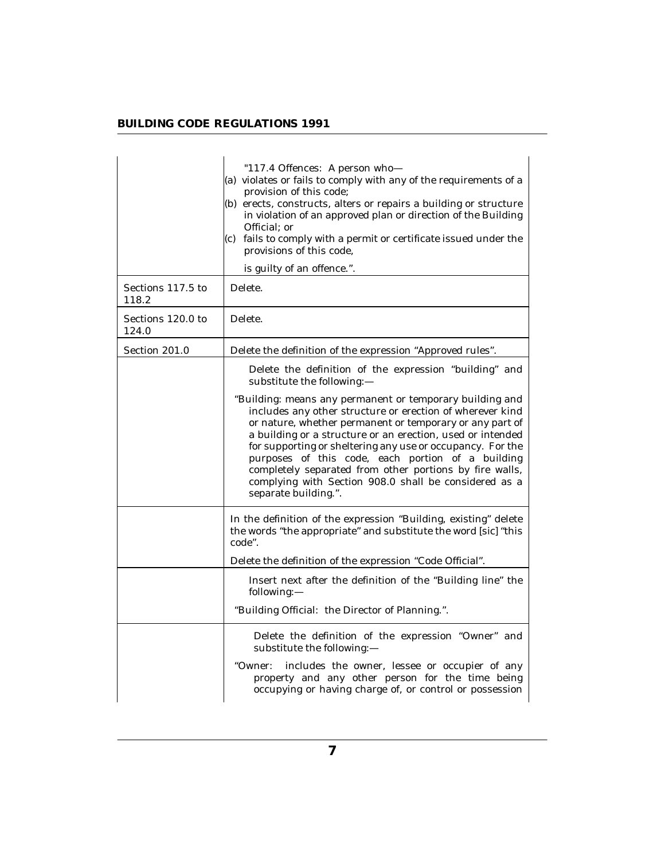|                            | "117.4 Offences: A person who-<br>(a) violates or fails to comply with any of the requirements of a<br>provision of this code;<br>(b) erects, constructs, alters or repairs a building or structure<br>in violation of an approved plan or direction of the Building<br>Official; or<br>$(c)$ fails to comply with a permit or certificate issued under the<br>provisions of this code,<br>is guilty of an offence.".                                                                                          |
|----------------------------|----------------------------------------------------------------------------------------------------------------------------------------------------------------------------------------------------------------------------------------------------------------------------------------------------------------------------------------------------------------------------------------------------------------------------------------------------------------------------------------------------------------|
| Sections 117.5 to<br>118.2 | Delete.                                                                                                                                                                                                                                                                                                                                                                                                                                                                                                        |
| Sections 120.0 to<br>124.0 | Delete.                                                                                                                                                                                                                                                                                                                                                                                                                                                                                                        |
| Section 201.0              | Delete the definition of the expression "Approved rules".                                                                                                                                                                                                                                                                                                                                                                                                                                                      |
|                            | Delete the definition of the expression "building" and<br>substitute the following:-                                                                                                                                                                                                                                                                                                                                                                                                                           |
|                            | "Building: means any permanent or temporary building and<br>includes any other structure or erection of wherever kind<br>or nature, whether permanent or temporary or any part of<br>a building or a structure or an erection, used or intended<br>for supporting or sheltering any use or occupancy. For the<br>purposes of this code, each portion of a building<br>completely separated from other portions by fire walls,<br>complying with Section 908.0 shall be considered as a<br>separate building.". |
|                            | In the definition of the expression "Building, existing" delete<br>the words "the appropriate" and substitute the word [sic] "this<br>code".                                                                                                                                                                                                                                                                                                                                                                   |
|                            | Delete the definition of the expression "Code Official".                                                                                                                                                                                                                                                                                                                                                                                                                                                       |
|                            | Insert next after the definition of the "Building line" the<br>following:-                                                                                                                                                                                                                                                                                                                                                                                                                                     |
|                            | "Building Official: the Director of Planning.".                                                                                                                                                                                                                                                                                                                                                                                                                                                                |
|                            | Delete the definition of the expression "Owner" and<br>substitute the following:-<br>"Owner:<br>includes the owner, lessee or occupier of any<br>property and any other person for the time being<br>occupying or having charge of, or control or possession                                                                                                                                                                                                                                                   |

J.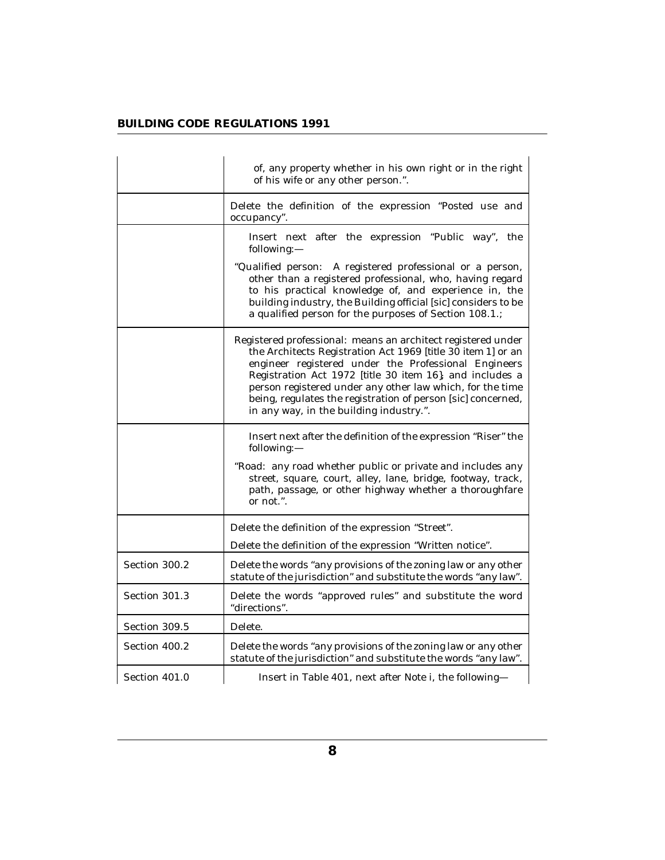|               | of, any property whether in his own right or in the right<br>of his wife or any other person.".                                                                                                                                                                                                                                                                                                                          |
|---------------|--------------------------------------------------------------------------------------------------------------------------------------------------------------------------------------------------------------------------------------------------------------------------------------------------------------------------------------------------------------------------------------------------------------------------|
|               | Delete the definition of the expression "Posted use and<br>occupancy".                                                                                                                                                                                                                                                                                                                                                   |
|               | Insert next after the expression "Public way", the<br>following:-                                                                                                                                                                                                                                                                                                                                                        |
|               | "Qualified person: A registered professional or a person,<br>other than a registered professional, who, having regard<br>to his practical knowledge of, and experience in, the<br>building industry, the Building official [sic] considers to be<br>a qualified person for the purposes of Section 108.1.;                                                                                                               |
|               | Registered professional: means an architect registered under<br>the Architects Registration Act 1969 [title 30 item 1] or an<br>engineer registered under the Professional Engineers<br>Registration Act 1972 [title 30 item 16], and includes a<br>person registered under any other law which, for the time<br>being, regulates the registration of person [sic] concerned,<br>in any way, in the building industry.". |
|               | Insert next after the definition of the expression "Riser" the<br>following:-                                                                                                                                                                                                                                                                                                                                            |
|               | "Road: any road whether public or private and includes any<br>street, square, court, alley, lane, bridge, footway, track,<br>path, passage, or other highway whether a thoroughfare<br>or not.".                                                                                                                                                                                                                         |
|               | Delete the definition of the expression "Street".                                                                                                                                                                                                                                                                                                                                                                        |
|               | Delete the definition of the expression "Written notice".                                                                                                                                                                                                                                                                                                                                                                |
| Section 300.2 | Delete the words "any provisions of the zoning law or any other<br>statute of the jurisdiction" and substitute the words "any law".                                                                                                                                                                                                                                                                                      |
| Section 301.3 | Delete the words "approved rules" and substitute the word<br>"directions".                                                                                                                                                                                                                                                                                                                                               |
| Section 309.5 | Delete.                                                                                                                                                                                                                                                                                                                                                                                                                  |
| Section 400.2 | Delete the words "any provisions of the zoning law or any other<br>statute of the jurisdiction" and substitute the words "any law".                                                                                                                                                                                                                                                                                      |
| Section 401.0 | Insert in Table 401, next after Note i, the following-                                                                                                                                                                                                                                                                                                                                                                   |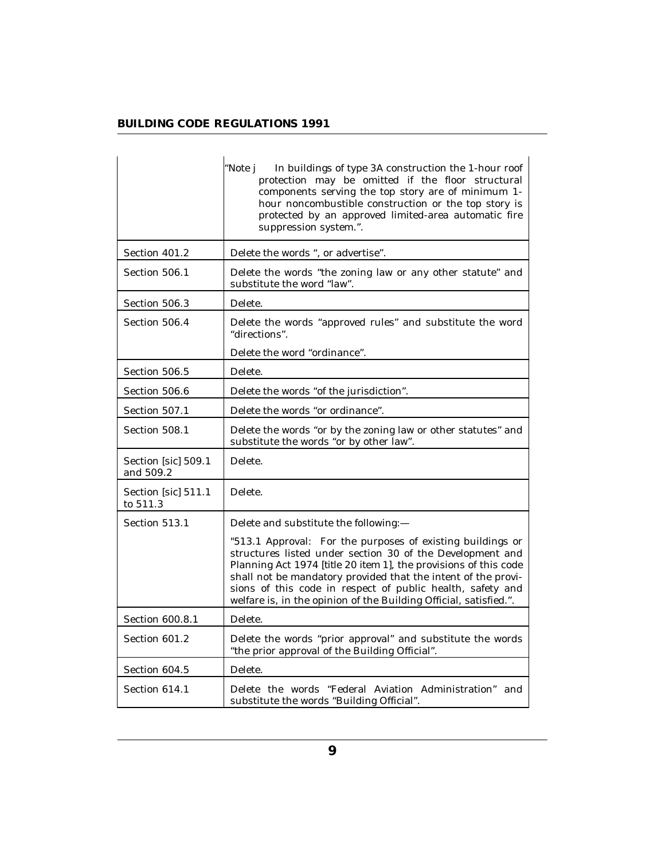|                                  | "Note j<br>In buildings of type 3A construction the 1-hour roof<br>protection may be omitted if the floor structural<br>components serving the top story are of minimum 1-<br>hour noncombustible construction or the top story is<br>protected by an approved limited-area automatic fire<br>suppression system.".                                                                             |
|----------------------------------|-------------------------------------------------------------------------------------------------------------------------------------------------------------------------------------------------------------------------------------------------------------------------------------------------------------------------------------------------------------------------------------------------|
| Section 401.2                    | Delete the words ", or advertise".                                                                                                                                                                                                                                                                                                                                                              |
| Section 506.1                    | Delete the words "the zoning law or any other statute" and<br>substitute the word "law".                                                                                                                                                                                                                                                                                                        |
| Section 506.3                    | Delete.                                                                                                                                                                                                                                                                                                                                                                                         |
| Section 506.4                    | Delete the words "approved rules" and substitute the word<br>"directions".                                                                                                                                                                                                                                                                                                                      |
|                                  | Delete the word "ordinance".                                                                                                                                                                                                                                                                                                                                                                    |
| Section 506.5                    | Delete.                                                                                                                                                                                                                                                                                                                                                                                         |
| Section 506.6                    | Delete the words "of the jurisdiction".                                                                                                                                                                                                                                                                                                                                                         |
| Section 507.1                    | Delete the words "or ordinance".                                                                                                                                                                                                                                                                                                                                                                |
| Section 508.1                    | Delete the words "or by the zoning law or other statutes" and<br>substitute the words "or by other law".                                                                                                                                                                                                                                                                                        |
| Section [sic] 509.1<br>and 509.2 | Delete.                                                                                                                                                                                                                                                                                                                                                                                         |
| Section [sic] 511.1<br>to 511.3  | Delete.                                                                                                                                                                                                                                                                                                                                                                                         |
| Section 513.1                    | Delete and substitute the following:-                                                                                                                                                                                                                                                                                                                                                           |
|                                  | "513.1 Approval: For the purposes of existing buildings or<br>structures listed under section 30 of the Development and<br>Planning Act 1974 [title 20 item 1], the provisions of this code<br>shall not be mandatory provided that the intent of the provi-<br>sions of this code in respect of public health, safety and<br>welfare is, in the opinion of the Building Official, satisfied.". |
| Section 600.8.1                  | Delete.                                                                                                                                                                                                                                                                                                                                                                                         |
| Section 601.2                    | Delete the words "prior approval" and substitute the words<br>"the prior approval of the Building Official".                                                                                                                                                                                                                                                                                    |
| Section 604.5                    | Delete.                                                                                                                                                                                                                                                                                                                                                                                         |
| Section 614.1                    | Delete the words "Federal Aviation Administration" and<br>substitute the words "Building Official".                                                                                                                                                                                                                                                                                             |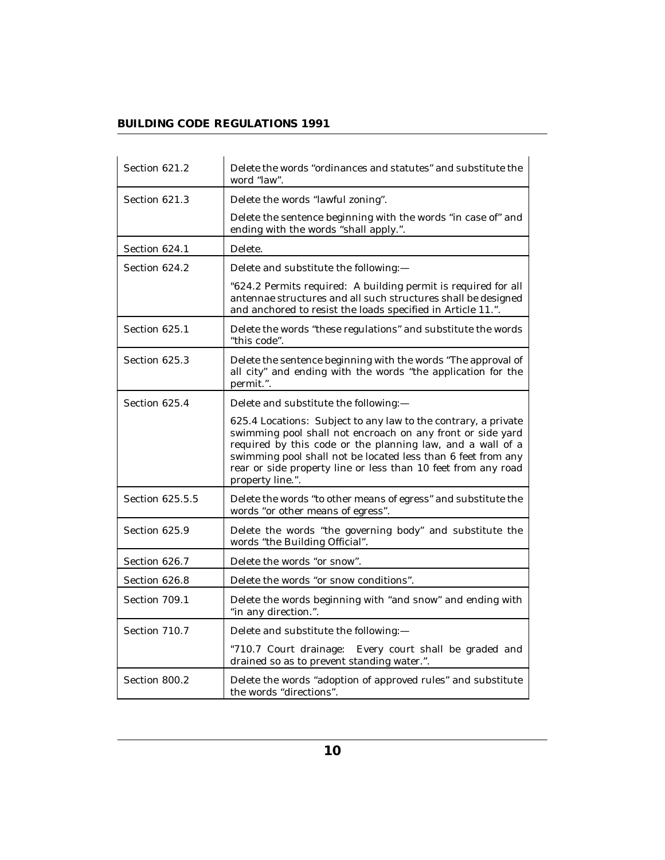| Section 621.2   | Delete the words "ordinances and statutes" and substitute the<br>word "law".                                                                                                                                                                                                                                                                    |
|-----------------|-------------------------------------------------------------------------------------------------------------------------------------------------------------------------------------------------------------------------------------------------------------------------------------------------------------------------------------------------|
| Section 621.3   | Delete the words "lawful zoning".                                                                                                                                                                                                                                                                                                               |
|                 | Delete the sentence beginning with the words "in case of" and<br>ending with the words "shall apply.".                                                                                                                                                                                                                                          |
| Section 624.1   | Delete.                                                                                                                                                                                                                                                                                                                                         |
| Section 624.2   | Delete and substitute the following:-                                                                                                                                                                                                                                                                                                           |
|                 | "624.2 Permits required: A building permit is required for all<br>antennae structures and all such structures shall be designed<br>and anchored to resist the loads specified in Article 11.".                                                                                                                                                  |
| Section 625.1   | Delete the words "these regulations" and substitute the words<br>"this code".                                                                                                                                                                                                                                                                   |
| Section 625.3   | Delete the sentence beginning with the words "The approval of<br>all city" and ending with the words "the application for the<br>permit.".                                                                                                                                                                                                      |
| Section 625.4   | Delete and substitute the following:-                                                                                                                                                                                                                                                                                                           |
|                 | 625.4 Locations: Subject to any law to the contrary, a private<br>swimming pool shall not encroach on any front or side yard<br>required by this code or the planning law, and a wall of a<br>swimming pool shall not be located less than 6 feet from any<br>rear or side property line or less than 10 feet from any road<br>property line.". |
| Section 625.5.5 | Delete the words "to other means of egress" and substitute the<br>words "or other means of egress".                                                                                                                                                                                                                                             |
| Section 625.9   | Delete the words "the governing body" and substitute the<br>words "the Building Official".                                                                                                                                                                                                                                                      |
| Section 626.7   | Delete the words "or snow".                                                                                                                                                                                                                                                                                                                     |
| Section 626.8   | Delete the words "or snow conditions".                                                                                                                                                                                                                                                                                                          |
| Section 709.1   | Delete the words beginning with "and snow" and ending with<br>"in any direction.".                                                                                                                                                                                                                                                              |
| Section 710.7   | Delete and substitute the following:-                                                                                                                                                                                                                                                                                                           |
|                 | "710.7 Court drainage: Every court shall be graded and<br>drained so as to prevent standing water.".                                                                                                                                                                                                                                            |
| Section 800.2   | Delete the words "adoption of approved rules" and substitute<br>the words "directions".                                                                                                                                                                                                                                                         |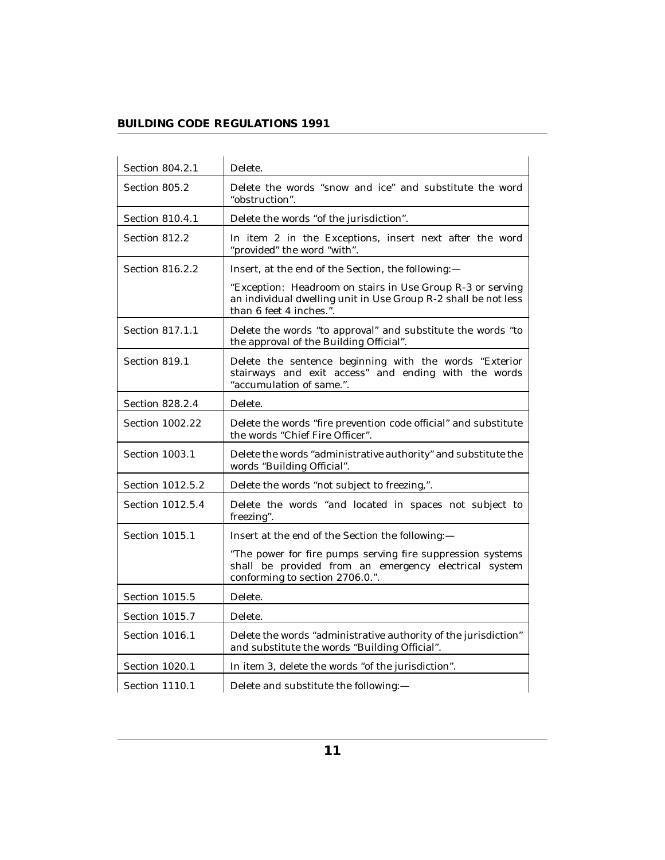| Section 804.2.1  | Delete.                                                                                                                                                 |
|------------------|---------------------------------------------------------------------------------------------------------------------------------------------------------|
| Section 805.2    | Delete the words "snow and ice" and substitute the word<br>"obstruction".                                                                               |
| Section 810.4.1  | Delete the words "of the jurisdiction".                                                                                                                 |
| Section 812.2    | In item 2 in the Exceptions, insert next after the word<br>"provided" the word "with".                                                                  |
| Section 816.2.2  | Insert, at the end of the Section, the following:-                                                                                                      |
|                  | "Exception: Headroom on stairs in Use Group R-3 or serving<br>an individual dwelling unit in Use Group R-2 shall be not less<br>than 6 feet 4 inches.". |
| Section 817.1.1  | Delete the words "to approval" and substitute the words "to<br>the approval of the Building Official".                                                  |
| Section 819.1    | Delete the sentence beginning with the words "Exterior<br>stairways and exit access" and ending with the words<br>"accumulation of same.".              |
| Section 828.2.4  | Delete.                                                                                                                                                 |
| Section 1002.22  | Delete the words "fire prevention code official" and substitute<br>the words "Chief Fire Officer".                                                      |
| Section 1003.1   | Delete the words "administrative authority" and substitute the<br>words "Building Official".                                                            |
| Section 1012.5.2 | Delete the words "not subject to freezing,".                                                                                                            |
| Section 1012.5.4 | Delete the words "and located in spaces not subject to<br>freezing".                                                                                    |
| Section 1015.1   | Insert at the end of the Section the following:-                                                                                                        |
|                  | "The power for fire pumps serving fire suppression systems<br>shall be provided from an emergency electrical system<br>conforming to section 2706.0.".  |
| Section 1015.5   | Delete.                                                                                                                                                 |
| Section 1015.7   | Delete.                                                                                                                                                 |
| Section 1016.1   | Delete the words "administrative authority of the jurisdiction"<br>and substitute the words "Building Official".                                        |
| Section 1020.1   | In item 3, delete the words "of the jurisdiction".                                                                                                      |
| Section 1110.1   | Delete and substitute the following:-                                                                                                                   |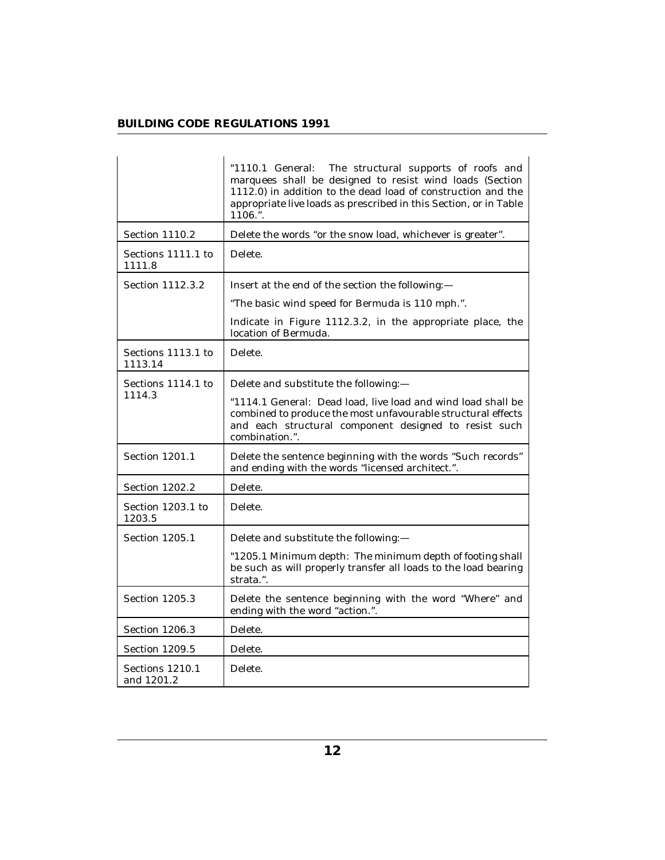|                               | "1110.1 General: The structural supports of roofs and<br>marquees shall be designed to resist wind loads (Section<br>1112.0) in addition to the dead load of construction and the<br>appropriate live loads as prescribed in this Section, or in Table<br>1106.". |
|-------------------------------|-------------------------------------------------------------------------------------------------------------------------------------------------------------------------------------------------------------------------------------------------------------------|
| Section 1110.2                | Delete the words "or the snow load, whichever is greater".                                                                                                                                                                                                        |
| Sections 1111.1 to<br>1111.8  | Delete.                                                                                                                                                                                                                                                           |
| Section 1112.3.2              | Insert at the end of the section the following:-                                                                                                                                                                                                                  |
|                               | "The basic wind speed for Bermuda is 110 mph.".                                                                                                                                                                                                                   |
|                               | Indicate in Figure 1112.3.2, in the appropriate place, the<br>location of Bermuda.                                                                                                                                                                                |
| Sections 1113.1 to<br>1113.14 | Delete.                                                                                                                                                                                                                                                           |
| Sections 1114.1 to            | Delete and substitute the following:-                                                                                                                                                                                                                             |
| 1114.3                        | "1114.1 General: Dead load, live load and wind load shall be<br>combined to produce the most unfavourable structural effects<br>and each structural component designed to resist such<br>combination.".                                                           |
| Section 1201.1                | Delete the sentence beginning with the words "Such records"<br>and ending with the words "licensed architect.".                                                                                                                                                   |
| Section 1202.2                | Delete.                                                                                                                                                                                                                                                           |
| Section 1203.1 to<br>1203.5   | Delete.                                                                                                                                                                                                                                                           |
| Section 1205.1                | Delete and substitute the following:-                                                                                                                                                                                                                             |
|                               | "1205.1 Minimum depth: The minimum depth of footing shall<br>be such as will properly transfer all loads to the load bearing<br>strata.".                                                                                                                         |
| Section 1205.3                | Delete the sentence beginning with the word "Where" and<br>ending with the word "action.".                                                                                                                                                                        |
| Section 1206.3                | Delete.                                                                                                                                                                                                                                                           |
| Section 1209.5                | Delete.                                                                                                                                                                                                                                                           |
| Sections 1210.1<br>and 1201.2 | Delete.                                                                                                                                                                                                                                                           |

L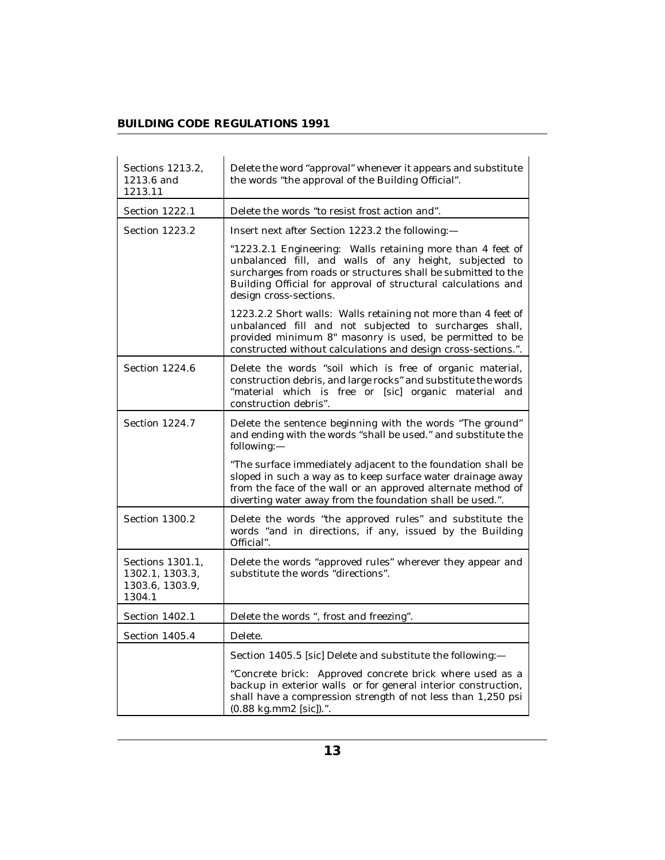| Sections 1213.2,<br>1213.6 and<br>1213.11                        | Delete the word "approval" whenever it appears and substitute<br>the words "the approval of the Building Official".                                                                                                                                                              |
|------------------------------------------------------------------|----------------------------------------------------------------------------------------------------------------------------------------------------------------------------------------------------------------------------------------------------------------------------------|
| Section 1222.1                                                   | Delete the words "to resist frost action and".                                                                                                                                                                                                                                   |
| Section 1223.2                                                   | Insert next after Section 1223.2 the following:-                                                                                                                                                                                                                                 |
|                                                                  | "1223.2.1 Engineering: Walls retaining more than 4 feet of<br>unbalanced fill, and walls of any height, subjected to<br>surcharges from roads or structures shall be submitted to the<br>Building Official for approval of structural calculations and<br>design cross-sections. |
|                                                                  | 1223.2.2 Short walls: Walls retaining not more than 4 feet of<br>unbalanced fill and not subjected to surcharges shall,<br>provided minimum 8" masonry is used, be permitted to be<br>constructed without calculations and design cross-sections.".                              |
| Section 1224.6                                                   | Delete the words "soil which is free of organic material,<br>construction debris, and large rocks" and substitute the words<br>"material which is free or [sic] organic material and<br>construction debris".                                                                    |
| Section 1224.7                                                   | Delete the sentence beginning with the words "The ground"<br>and ending with the words "shall be used." and substitute the<br>following:-                                                                                                                                        |
|                                                                  | "The surface immediately adjacent to the foundation shall be<br>sloped in such a way as to keep surface water drainage away<br>from the face of the wall or an approved alternate method of<br>diverting water away from the foundation shall be used.".                         |
| Section 1300.2                                                   | Delete the words "the approved rules" and substitute the<br>words "and in directions, if any, issued by the Building<br>Official".                                                                                                                                               |
| Sections 1301.1,<br>1302.1, 1303.3,<br>1303.6, 1303.9,<br>1304.1 | Delete the words "approved rules" wherever they appear and<br>substitute the words "directions".                                                                                                                                                                                 |
| Section 1402.1                                                   | Delete the words ", frost and freezing".                                                                                                                                                                                                                                         |
| Section 1405.4                                                   | Delete.                                                                                                                                                                                                                                                                          |
|                                                                  | Section 1405.5 [sic] Delete and substitute the following:-                                                                                                                                                                                                                       |
|                                                                  | "Concrete brick: Approved concrete brick where used as a<br>backup in exterior walls or for general interior construction,<br>shall have a compression strength of not less than 1,250 psi<br>$(0.88 \text{ kg}.\text{mm2} \text{ [sic]}).$ ".                                   |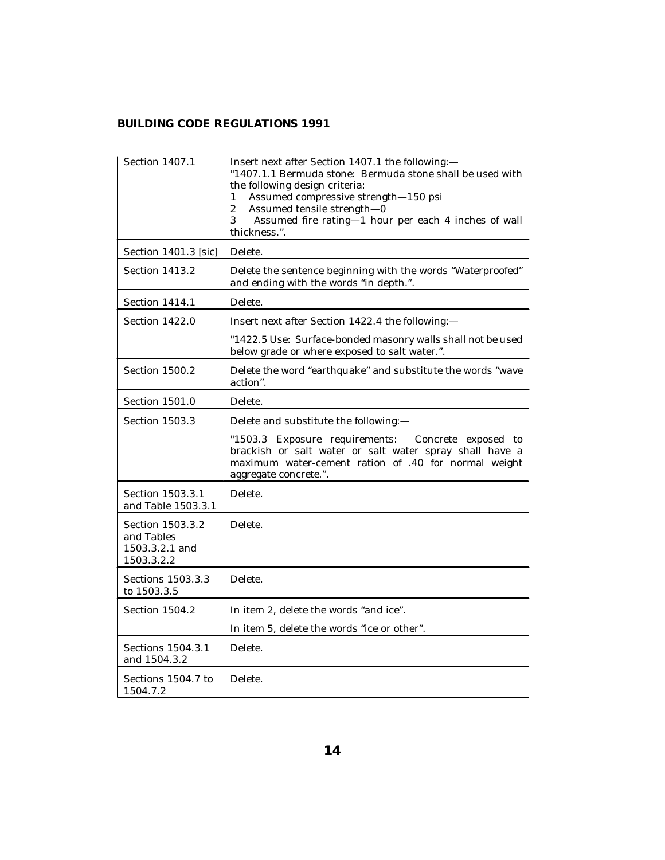| Section 1407.1                                                 | Insert next after Section 1407.1 the following:-<br>"1407.1.1 Bermuda stone: Bermuda stone shall be used with<br>the following design criteria:<br>Assumed compressive strength-150 psi<br>1<br>$\overline{c}$<br>Assumed tensile strength-0<br>3<br>Assumed fire rating-1 hour per each 4 inches of wall<br>thickness.". |
|----------------------------------------------------------------|---------------------------------------------------------------------------------------------------------------------------------------------------------------------------------------------------------------------------------------------------------------------------------------------------------------------------|
| Section 1401.3 [sic]                                           | Delete.                                                                                                                                                                                                                                                                                                                   |
| Section 1413.2                                                 | Delete the sentence beginning with the words "Waterproofed"<br>and ending with the words "in depth.".                                                                                                                                                                                                                     |
| Section 1414.1                                                 | Delete.                                                                                                                                                                                                                                                                                                                   |
| Section 1422.0                                                 | Insert next after Section 1422.4 the following:-                                                                                                                                                                                                                                                                          |
|                                                                | "1422.5 Use: Surface-bonded masonry walls shall not be used<br>below grade or where exposed to salt water.".                                                                                                                                                                                                              |
| Section 1500.2                                                 | Delete the word "earthquake" and substitute the words "wave<br>action".                                                                                                                                                                                                                                                   |
| Section 1501.0                                                 | Delete.                                                                                                                                                                                                                                                                                                                   |
| Section 1503.3                                                 | Delete and substitute the following:-                                                                                                                                                                                                                                                                                     |
|                                                                | "1503.3 Exposure requirements:<br>Concrete exposed to<br>brackish or salt water or salt water spray shall have a<br>maximum water-cement ration of .40 for normal weight<br>aggregate concrete.".                                                                                                                         |
| Section 1503.3.1<br>and Table 1503.3.1                         | Delete.                                                                                                                                                                                                                                                                                                                   |
| Section 1503.3.2<br>and Tables<br>1503.3.2.1 and<br>1503.3.2.2 | Delete.                                                                                                                                                                                                                                                                                                                   |
| Sections 1503.3.3<br>to 1503.3.5                               | Delete.                                                                                                                                                                                                                                                                                                                   |
| Section 1504.2                                                 | In item 2, delete the words "and ice".                                                                                                                                                                                                                                                                                    |
|                                                                | In item 5, delete the words "ice or other".                                                                                                                                                                                                                                                                               |
| Sections 1504.3.1<br>and 1504.3.2                              | Delete.                                                                                                                                                                                                                                                                                                                   |
| Sections 1504.7 to<br>1504.7.2                                 | Delete.                                                                                                                                                                                                                                                                                                                   |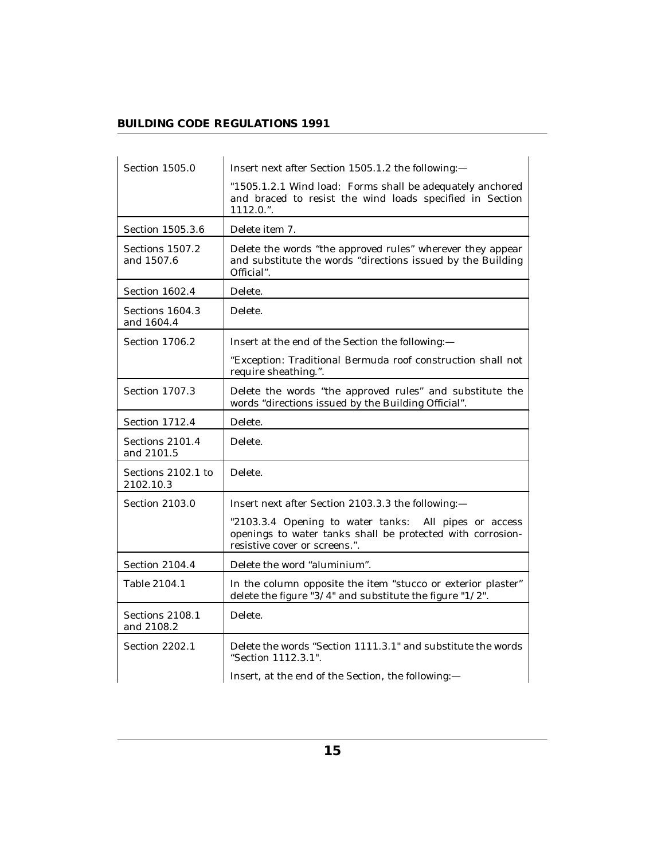| Section 1505.0                  | Insert next after Section 1505.1.2 the following:-                                                                                                   |
|---------------------------------|------------------------------------------------------------------------------------------------------------------------------------------------------|
|                                 | "1505.1.2.1 Wind load: Forms shall be adequately anchored<br>and braced to resist the wind loads specified in Section<br>$1112.0.$ ".                |
| Section 1505.3.6                | Delete item 7.                                                                                                                                       |
| Sections 1507.2<br>and 1507.6   | Delete the words "the approved rules" wherever they appear<br>and substitute the words "directions issued by the Building<br>Official".              |
| Section 1602.4                  | Delete.                                                                                                                                              |
| Sections 1604.3<br>and 1604.4   | Delete.                                                                                                                                              |
| Section 1706.2                  | Insert at the end of the Section the following:-                                                                                                     |
|                                 | "Exception: Traditional Bermuda roof construction shall not<br>require sheathing.".                                                                  |
| Section 1707.3                  | Delete the words "the approved rules" and substitute the<br>words "directions issued by the Building Official".                                      |
| Section 1712.4                  | Delete.                                                                                                                                              |
| Sections 2101.4<br>and 2101.5   | Delete.                                                                                                                                              |
| Sections 2102.1 to<br>2102.10.3 | Delete.                                                                                                                                              |
| Section 2103.0                  | Insert next after Section 2103.3.3 the following:-                                                                                                   |
|                                 | "2103.3.4 Opening to water tanks: All pipes or access<br>openings to water tanks shall be protected with corrosion-<br>resistive cover or screens.". |
| Section 2104.4                  | Delete the word "aluminium".                                                                                                                         |
| Table 2104.1                    | In the column opposite the item "stucco or exterior plaster"<br>delete the figure " $3/4$ " and substitute the figure " $1/2$ ".                     |
| Sections 2108.1<br>and 2108.2   | Delete.                                                                                                                                              |
| Section 2202.1                  | Delete the words "Section 1111.3.1" and substitute the words<br>"Section 1112.3.1".                                                                  |
|                                 | Insert, at the end of the Section, the following:-                                                                                                   |

L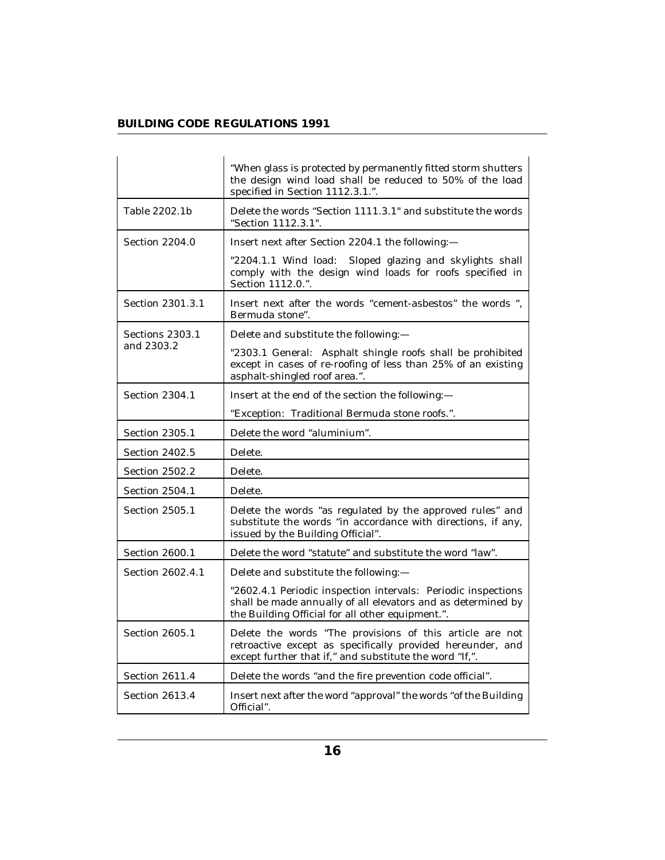|                       | "When glass is protected by permanently fitted storm shutters<br>the design wind load shall be reduced to 50% of the load<br>specified in Section 1112.3.1.".                     |
|-----------------------|-----------------------------------------------------------------------------------------------------------------------------------------------------------------------------------|
| Table 2202.1b         | Delete the words "Section 1111.3.1" and substitute the words<br>"Section 1112.3.1".                                                                                               |
| <b>Section 2204.0</b> | Insert next after Section 2204.1 the following:-                                                                                                                                  |
|                       | "2204.1.1 Wind load:<br>Sloped glazing and skylights shall<br>comply with the design wind loads for roofs specified in<br>Section 1112.0.".                                       |
| Section 2301.3.1      | Insert next after the words "cement-asbestos" the words ",<br>Bermuda stone".                                                                                                     |
| Sections 2303.1       | Delete and substitute the following:-                                                                                                                                             |
| and 2303.2            | "2303.1 General: Asphalt shingle roofs shall be prohibited<br>except in cases of re-roofing of less than 25% of an existing<br>asphalt-shingled roof area.".                      |
| Section 2304.1        | Insert at the end of the section the following:-                                                                                                                                  |
|                       | "Exception: Traditional Bermuda stone roofs.".                                                                                                                                    |
| Section 2305.1        | Delete the word "aluminium".                                                                                                                                                      |
| <b>Section 2402.5</b> | Delete.                                                                                                                                                                           |
| Section 2502.2        | Delete.                                                                                                                                                                           |
| Section 2504.1        | Delete.                                                                                                                                                                           |
| Section 2505.1        | Delete the words "as regulated by the approved rules" and<br>substitute the words "in accordance with directions, if any,<br>issued by the Building Official".                    |
| Section 2600.1        | Delete the word "statute" and substitute the word "law".                                                                                                                          |
| Section 2602.4.1      | Delete and substitute the following:-                                                                                                                                             |
|                       | "2602.4.1 Periodic inspection intervals: Periodic inspections<br>shall be made annually of all elevators and as determined by<br>the Building Official for all other equipment.". |
| Section 2605.1        | Delete the words "The provisions of this article are not<br>retroactive except as specifically provided hereunder, and<br>except further that if," and substitute the word "If,". |
| Section 2611.4        | Delete the words "and the fire prevention code official".                                                                                                                         |
| Section 2613.4        | Insert next after the word "approval" the words "of the Building<br>Official".                                                                                                    |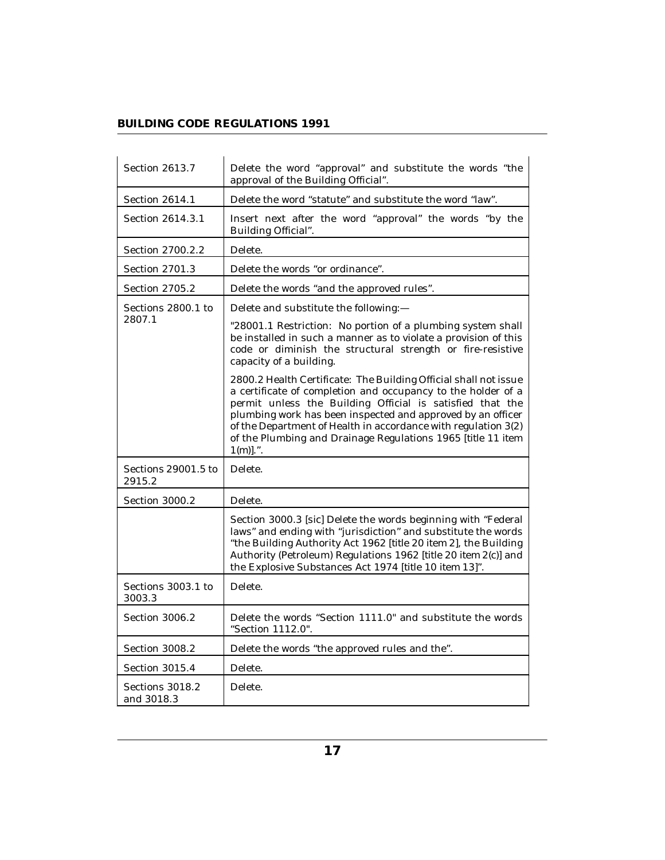| Section 2613.7                | Delete the word "approval" and substitute the words "the<br>approval of the Building Official".                                                                                                                                                                                                                                                                                                              |
|-------------------------------|--------------------------------------------------------------------------------------------------------------------------------------------------------------------------------------------------------------------------------------------------------------------------------------------------------------------------------------------------------------------------------------------------------------|
| Section 2614.1                | Delete the word "statute" and substitute the word "law".                                                                                                                                                                                                                                                                                                                                                     |
| Section 2614.3.1              | Insert next after the word "approval" the words "by the<br>Building Official".                                                                                                                                                                                                                                                                                                                               |
| Section 2700.2.2              | Delete.                                                                                                                                                                                                                                                                                                                                                                                                      |
| Section 2701.3                | Delete the words "or ordinance".                                                                                                                                                                                                                                                                                                                                                                             |
| Section 2705.2                | Delete the words "and the approved rules".                                                                                                                                                                                                                                                                                                                                                                   |
| Sections 2800.1 to            | Delete and substitute the following:-                                                                                                                                                                                                                                                                                                                                                                        |
| 2807.1                        | "28001.1 Restriction: No portion of a plumbing system shall<br>be installed in such a manner as to violate a provision of this<br>code or diminish the structural strength or fire-resistive<br>capacity of a building.                                                                                                                                                                                      |
|                               | 2800.2 Health Certificate: The Building Official shall not issue<br>a certificate of completion and occupancy to the holder of a<br>permit unless the Building Official is satisfied that the<br>plumbing work has been inspected and approved by an officer<br>of the Department of Health in accordance with regulation 3(2)<br>of the Plumbing and Drainage Regulations 1965 [title 11 item<br>$1(m)$ .". |
| Sections 29001.5 to<br>2915.2 | Delete.                                                                                                                                                                                                                                                                                                                                                                                                      |
| Section 3000.2                | Delete.                                                                                                                                                                                                                                                                                                                                                                                                      |
|                               | Section 3000.3 [sic] Delete the words beginning with "Federal<br>laws" and ending with "jurisdiction" and substitute the words<br>"the Building Authority Act 1962 [title 20 item 2], the Building<br>Authority (Petroleum) Regulations 1962 [title 20 item 2(c)] and<br>the Explosive Substances Act 1974 [title 10 item 13]".                                                                              |
| Sections 3003.1 to<br>3003.3  | Delete.                                                                                                                                                                                                                                                                                                                                                                                                      |
| Section 3006.2                | Delete the words "Section 1111.0" and substitute the words<br>"Section 1112.0".                                                                                                                                                                                                                                                                                                                              |
| Section 3008.2                | Delete the words "the approved rules and the".                                                                                                                                                                                                                                                                                                                                                               |
| Section 3015.4                | Delete.                                                                                                                                                                                                                                                                                                                                                                                                      |
| Sections 3018.2<br>and 3018.3 | Delete.                                                                                                                                                                                                                                                                                                                                                                                                      |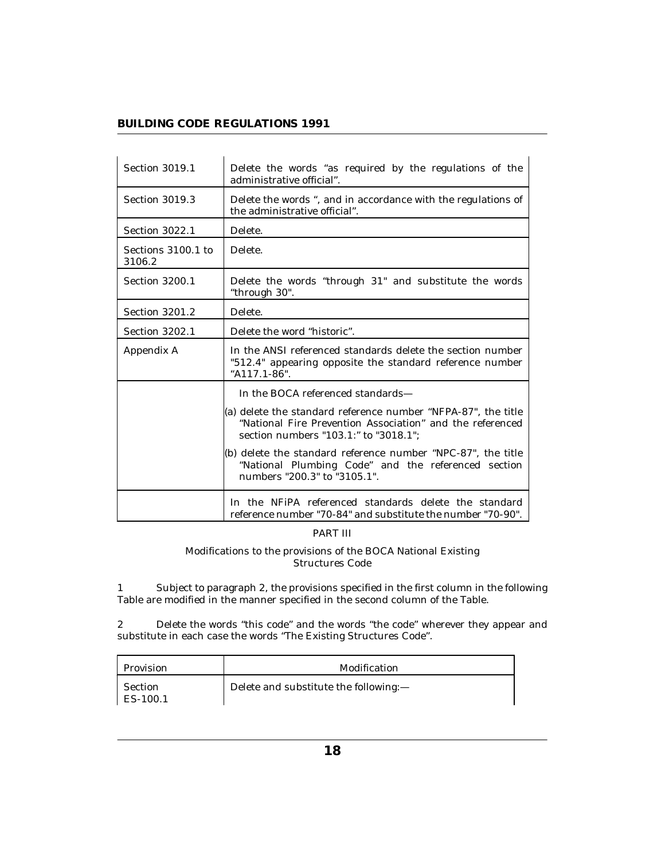| Section 3019.1               | Delete the words "as required by the regulations of the<br>administrative official".                                                                                |
|------------------------------|---------------------------------------------------------------------------------------------------------------------------------------------------------------------|
| Section 3019.3               | Delete the words ", and in accordance with the regulations of<br>the administrative official".                                                                      |
| Section 3022.1               | Delete.                                                                                                                                                             |
| Sections 3100.1 to<br>3106.2 | Delete.                                                                                                                                                             |
| Section 3200.1               | Delete the words "through 31" and substitute the words<br>"through 30".                                                                                             |
| Section 3201.2               | Delete.                                                                                                                                                             |
| Section 3202.1               | Delete the word "historic".                                                                                                                                         |
| Appendix A                   | In the ANSI referenced standards delete the section number<br>"512.4" appearing opposite the standard reference number<br>"A117.1-86".                              |
|                              | In the BOCA referenced standards-                                                                                                                                   |
|                              | (a) delete the standard reference number "NFPA-87", the title<br>"National Fire Prevention Association" and the referenced<br>section numbers "103.1:" to "3018.1"; |
|                              | (b) delete the standard reference number "NPC-87", the title<br>"National Plumbing Code" and the referenced section<br>numbers "200.3" to "3105.1".                 |
|                              | In the NFiPA referenced standards delete the standard<br>reference number "70-84" and substitute the number "70-90".                                                |

#### PART III

Modifications to the provisions of the BOCA National Existing Structures Code

Subject to paragraph 2, the provisions specified in the first column in the following Table are modified in the manner specified in the second column of the Table. 1

Delete the words "this code" and the words "the code" wherever they appear and substitute in each case the words "The Existing Structures Code". 2

| Provision             | Modification                          |
|-----------------------|---------------------------------------|
| Section<br>1 ES-100.1 | Delete and substitute the following:- |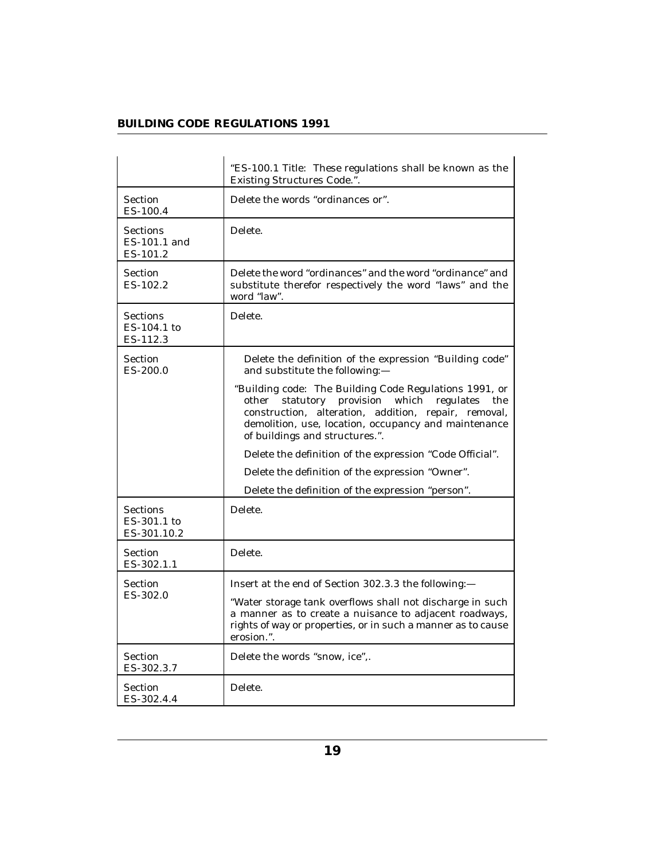|                                               | "ES-100.1 Title: These regulations shall be known as the<br>Existing Structures Code.".                                                                                                                                                                               |
|-----------------------------------------------|-----------------------------------------------------------------------------------------------------------------------------------------------------------------------------------------------------------------------------------------------------------------------|
| Section<br>ES-100.4                           | Delete the words "ordinances or".                                                                                                                                                                                                                                     |
| Sections<br>ES-101.1 and<br>ES-101.2          | Delete.                                                                                                                                                                                                                                                               |
| Section<br>ES-102.2                           | Delete the word "ordinances" and the word "ordinance" and<br>substitute therefor respectively the word "laws" and the<br>word "law".                                                                                                                                  |
| Sections<br>ES-104.1 to<br>ES-112.3           | Delete.                                                                                                                                                                                                                                                               |
| Section<br>$ES-200.0$                         | Delete the definition of the expression "Building code"<br>and substitute the following:-                                                                                                                                                                             |
|                                               | "Building code: The Building Code Regulations 1991, or<br>statutory provision<br>which<br>regulates<br>other<br>the<br>construction, alteration, addition, repair, removal,<br>demolition, use, location, occupancy and maintenance<br>of buildings and structures.". |
|                                               | Delete the definition of the expression "Code Official".                                                                                                                                                                                                              |
|                                               | Delete the definition of the expression "Owner".                                                                                                                                                                                                                      |
|                                               | Delete the definition of the expression "person".                                                                                                                                                                                                                     |
| <b>Sections</b><br>ES-301.1 to<br>ES-301.10.2 | Delete.                                                                                                                                                                                                                                                               |
| Section<br>ES-302.1.1                         | Delete.                                                                                                                                                                                                                                                               |
| Section<br>ES-302.0                           | Insert at the end of Section 302.3.3 the following:-                                                                                                                                                                                                                  |
|                                               | "Water storage tank overflows shall not discharge in such<br>a manner as to create a nuisance to adjacent roadways,<br>rights of way or properties, or in such a manner as to cause<br>erosion.".                                                                     |
| Section<br>ES-302.3.7                         | Delete the words "snow, ice",.                                                                                                                                                                                                                                        |
| Section<br>ES-302.4.4                         | Delete.                                                                                                                                                                                                                                                               |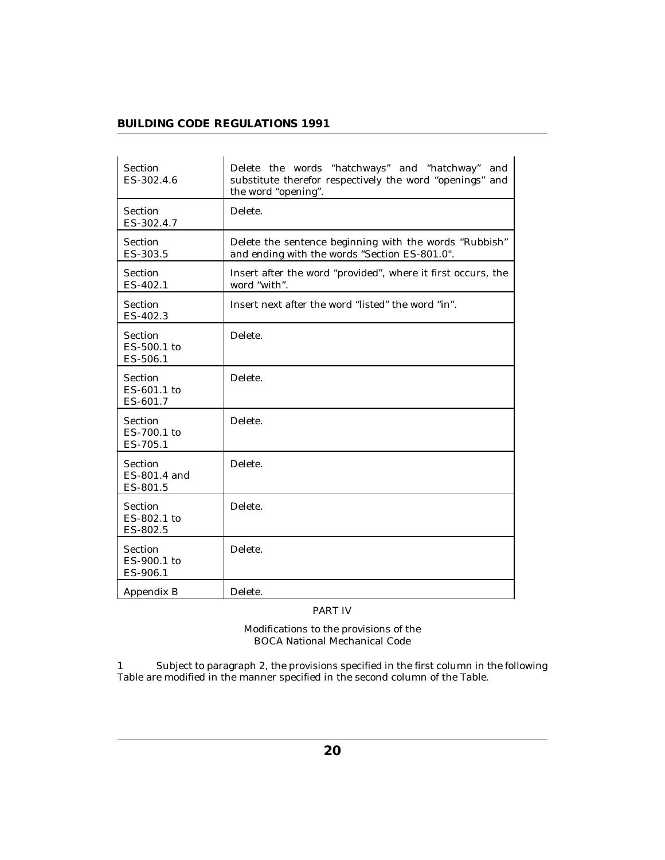| <b>Section</b><br>ES-302.4.6              | Delete the words "hatchways" and "hatchway"<br>and<br>substitute therefor respectively the word "openings" and<br>the word "opening". |
|-------------------------------------------|---------------------------------------------------------------------------------------------------------------------------------------|
| <b>Section</b><br>ES-302.4.7              | Delete.                                                                                                                               |
| Section<br>ES-303.5                       | Delete the sentence beginning with the words "Rubbish"<br>and ending with the words "Section ES-801.0".                               |
| Section<br>ES-402.1                       | Insert after the word "provided", where it first occurs, the<br>word "with".                                                          |
| Section<br>ES-402.3                       | Insert next after the word "listed" the word "in".                                                                                    |
| Section<br>ES-500.1 to<br>ES-506.1        | Delete.                                                                                                                               |
| <b>Section</b><br>ES-601.1 to<br>ES-601.7 | Delete.                                                                                                                               |
| Section<br>ES-700.1 to<br>ES-705.1        | Delete.                                                                                                                               |
| Section<br>ES-801.4 and<br>ES-801.5       | Delete.                                                                                                                               |
| Section<br>ES-802.1 to<br>ES-802.5        | Delete.                                                                                                                               |
| <b>Section</b><br>ES-900.1 to<br>ES-906.1 | Delete.                                                                                                                               |
| Appendix B                                | Delete.                                                                                                                               |

PART IV

Modifications to the provisions of the BOCA National Mechanical Code

Subject to paragraph 2, the provisions specified in the first column in the following Table are modified in the manner specified in the second column of the Table. 1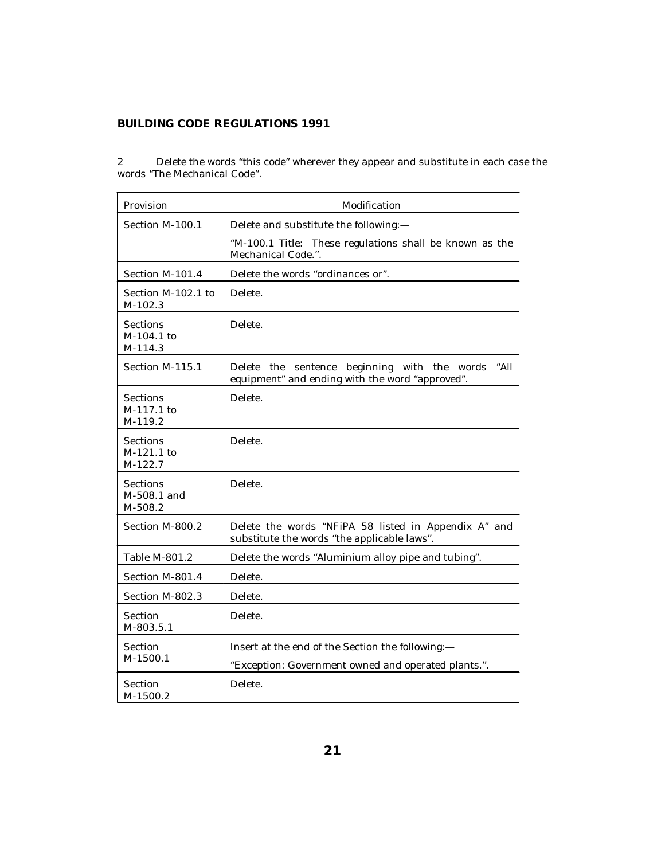Delete the words "this code" wherever they appear and substitute in each case the words "The Mechanical Code". 2

| Provision                                  | Modification                                                                                            |
|--------------------------------------------|---------------------------------------------------------------------------------------------------------|
| Section M-100.1                            | Delete and substitute the following:-                                                                   |
|                                            | "M-100.1 Title: These regulations shall be known as the<br>Mechanical Code.".                           |
| Section M-101.4                            | Delete the words "ordinances or".                                                                       |
| Section M-102.1 to<br>M-102.3              | Delete.                                                                                                 |
| Sections<br>M-104.1 to<br>M-114.3          | Delete.                                                                                                 |
| Section M-115.1                            | Delete the sentence beginning with the words<br>"All<br>equipment" and ending with the word "approved". |
| Sections<br>M-117.1 to<br>M-119.2          | Delete.                                                                                                 |
| <b>Sections</b><br>$M-121.1$ to<br>M-122.7 | Delete.                                                                                                 |
| <b>Sections</b><br>M-508.1 and<br>M-508.2  | Delete.                                                                                                 |
| Section M-800.2                            | Delete the words "NFiPA 58 listed in Appendix A" and<br>substitute the words "the applicable laws".     |
| Table M-801.2                              | Delete the words "Aluminium alloy pipe and tubing".                                                     |
| Section M-801.4                            | Delete.                                                                                                 |
| Section M-802.3                            | Delete.                                                                                                 |
| Section<br>M-803.5.1                       | Delete.                                                                                                 |
| Section<br>$M-1500.1$                      | Insert at the end of the Section the following:-<br>"Exception: Government owned and operated plants.". |
| Section<br>M-1500.2                        | Delete.                                                                                                 |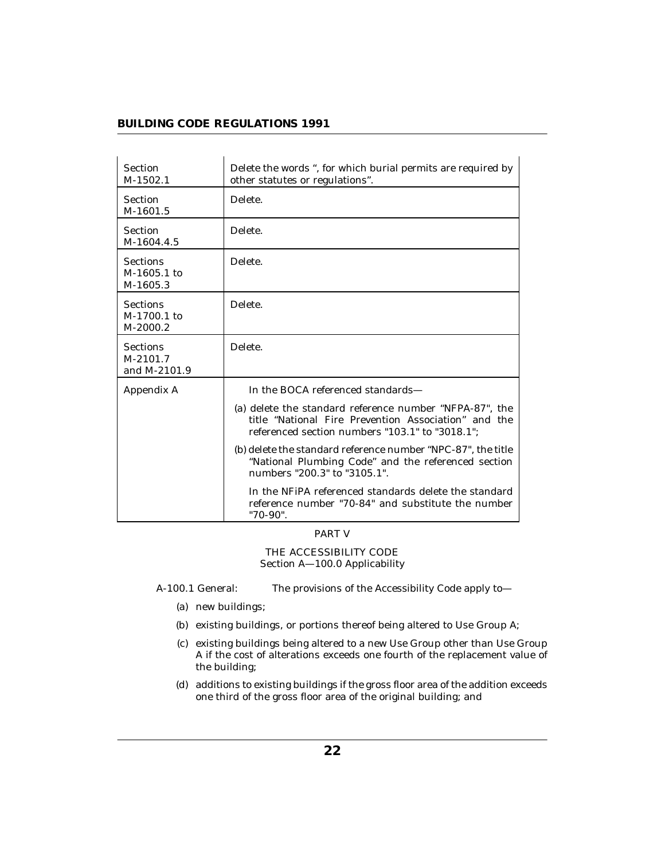| Section<br>$M-1502.1$                       | Delete the words ", for which burial permits are required by<br>other statutes or regulations".                                                                    |
|---------------------------------------------|--------------------------------------------------------------------------------------------------------------------------------------------------------------------|
| Section<br>M-1601.5                         | Delete.                                                                                                                                                            |
| Section<br>M-1604.4.5                       | Delete.                                                                                                                                                            |
| <b>Sections</b><br>M-1605.1 to<br>M-1605.3  | Delete.                                                                                                                                                            |
| <b>Sections</b><br>M-1700.1 to<br>M-2000.2  | Delete.                                                                                                                                                            |
| <b>Sections</b><br>M-2101.7<br>and M-2101.9 | Delete.                                                                                                                                                            |
| Appendix A                                  | In the BOCA referenced standards-                                                                                                                                  |
|                                             | (a) delete the standard reference number "NFPA-87", the<br>title "National Fire Prevention Association" and the<br>referenced section numbers "103.1" to "3018.1"; |
|                                             | (b) delete the standard reference number "NPC-87", the title<br>"National Plumbing Code" and the referenced section<br>numbers "200.3" to "3105.1".                |
|                                             | In the NFiPA referenced standards delete the standard<br>reference number "70-84" and substitute the number<br>"70-90".                                            |

#### PART V

THE ACCESSIBILITY CODE Section A—100.0 Applicability

- A-100.1 General: The provisions of the Accessibility Code apply to—
	- (a) new buildings;
	- (b) existing buildings, or portions thereof being altered to Use Group A;
	- (c) existing buildings being altered to a new Use Group other than Use Group A if the cost of alterations exceeds one fourth of the replacement value of the building;
	- additions to existing buildings if the gross floor area of the addition exceeds (d) one third of the gross floor area of the original building; and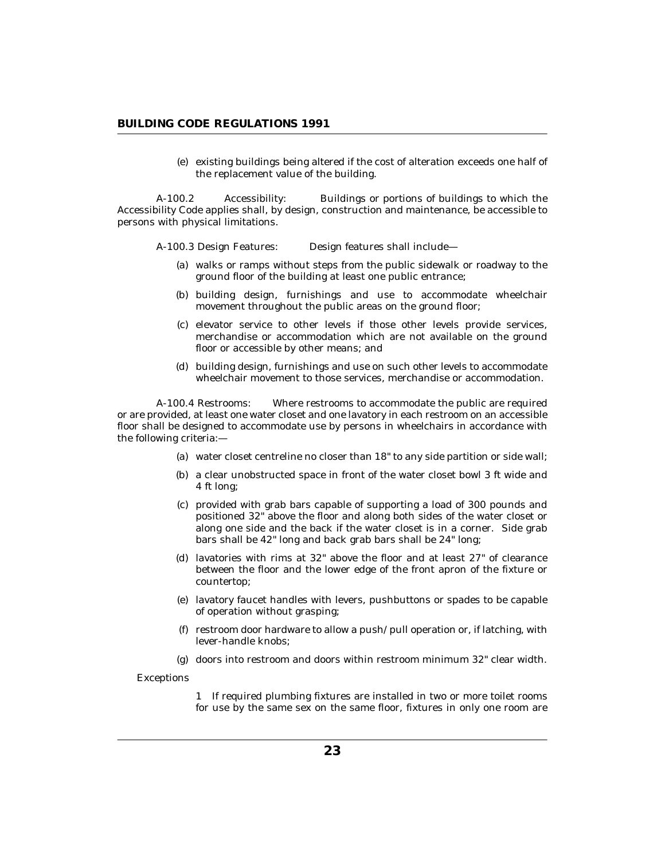(e) existing buildings being altered if the cost of alteration exceeds one half of the replacement value of the building.

A-100.2 Accessibility: Buildings or portions of buildings to which the Accessibility Code applies shall, by design, construction and maintenance, be accessible to persons with physical limitations.

A-100.3 Design Features: Design features shall include—

- walks or ramps without steps from the public sidewalk or roadway to the (a) ground floor of the building at least one public entrance;
- (b) building design, furnishings and use to accommodate wheelchair movement throughout the public areas on the ground floor;
- (c) elevator service to other levels if those other levels provide services, merchandise or accommodation which are not available on the ground floor or accessible by other means; and
- building design, furnishings and use on such other levels to accommodate (d) wheelchair movement to those services, merchandise or accommodation.

A-100.4 Restrooms: Where restrooms to accommodate the public are required or are provided, at least one water closet and one lavatory in each restroom on an accessible floor shall be designed to accommodate use by persons in wheelchairs in accordance with the following criteria:—

- water closet centreline no closer than 18" to any side partition or side wall; (a)
- (b) a clear unobstructed space in front of the water closet bowl 3 ft wide and 4 ft long;
- provided with grab bars capable of supporting a load of 300 pounds and (c) positioned 32" above the floor and along both sides of the water closet or along one side and the back if the water closet is in a corner. Side grab bars shall be 42" long and back grab bars shall be 24" long;
- (d) lavatories with rims at  $32^{\circ}$  above the floor and at least  $27^{\circ}$  of clearance between the floor and the lower edge of the front apron of the fixture or countertop;
- lavatory faucet handles with levers, pushbuttons or spades to be capable (e) of operation without grasping;
- (f) restroom door hardware to allow a push/pull operation or, if latching, with lever-handle knobs;
- $(g)$  doors into restroom and doors within restroom minimum  $32$ " clear width.

Exceptions

1 If required plumbing fixtures are installed in two or more toilet rooms for use by the same sex on the same floor, fixtures in only one room are